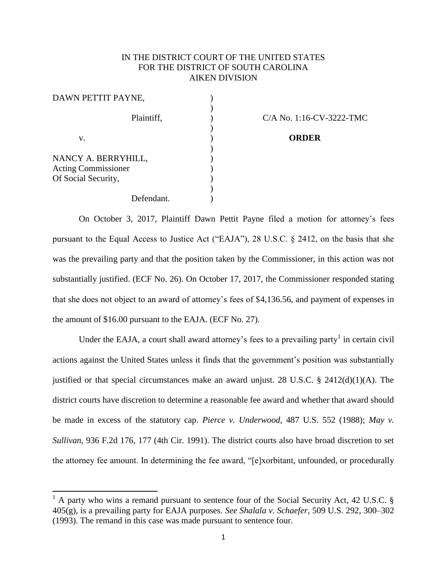## IN THE DISTRICT COURT OF THE UNITED STATES FOR THE DISTRICT OF SOUTH CAROLINA AIKEN DIVISION

| DAWN PETTIT PAYNE,                                                       |                  |  |
|--------------------------------------------------------------------------|------------------|--|
| Plaintiff,                                                               | $C/A$ No. 1:16-C |  |
| v.                                                                       | <b>ORDER</b>     |  |
| NANCY A. BERRYHILL,<br><b>Acting Commissioner</b><br>Of Social Security, |                  |  |
| Defendant.                                                               |                  |  |

 $\overline{\phantom{a}}$ 

 $C/A$  No. 1:16-CV-3222-TMC.

On October 3, 2017, Plaintiff Dawn Pettit Payne filed a motion for attorney's fees pursuant to the Equal Access to Justice Act ("EAJA"), 28 U.S.C. § 2412, on the basis that she was the prevailing party and that the position taken by the Commissioner, in this action was not substantially justified. (ECF No. 26). On October 17, 2017, the Commissioner responded stating that she does not object to an award of attorney's fees of \$4,136.56, and payment of expenses in the amount of \$16.00 pursuant to the EAJA. (ECF No. 27).

Under the EAJA, a court shall award attorney's fees to a prevailing party<sup>1</sup> in certain civil actions against the United States unless it finds that the government's position was substantially justified or that special circumstances make an award unjust. 28 U.S.C.  $\S$  2412(d)(1)(A). The district courts have discretion to determine a reasonable fee award and whether that award should be made in excess of the statutory cap. *Pierce v. Underwood*, 487 U.S. 552 (1988); *May v. Sullivan*, 936 F.2d 176, 177 (4th Cir. 1991). The district courts also have broad discretion to set the attorney fee amount. In determining the fee award, "[e]xorbitant, unfounded, or procedurally

 $1$  A party who wins a remand pursuant to sentence four of the Social Security Act, 42 U.S.C. § 405(g), is a prevailing party for EAJA purposes. *See Shalala v. Schaefer*, 509 U.S. 292, 300–302 (1993). The remand in this case was made pursuant to sentence four.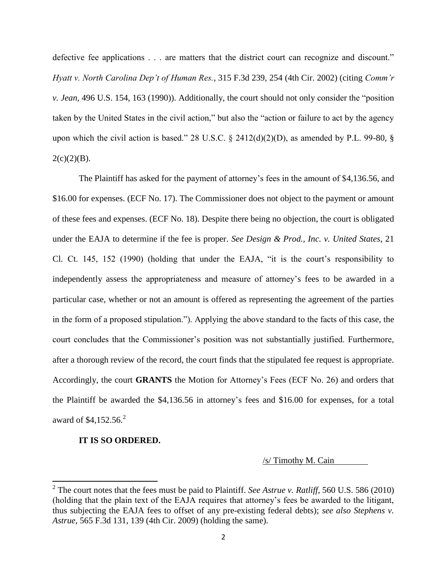defective fee applications . . . are matters that the district court can recognize and discount." *Hyatt v. North Carolina Dep't of Human Res.*, 315 F.3d 239, 254 (4th Cir. 2002) (citing *Comm'r v. Jean*, 496 U.S. 154, 163 (1990)). Additionally, the court should not only consider the "position taken by the United States in the civil action," but also the "action or failure to act by the agency upon which the civil action is based." 28 U.S.C.  $\S$  2412(d)(2)(D), as amended by P.L. 99-80,  $\S$  $2(c)(2)(B)$ .

The Plaintiff has asked for the payment of attorney's fees in the amount of \$4,136.56, and \$16.00 for expenses. (ECF No. 17). The Commissioner does not object to the payment or amount of these fees and expenses. (ECF No. 18). Despite there being no objection, the court is obligated under the EAJA to determine if the fee is proper. *See Design & Prod., Inc. v. United States*, 21 Cl. Ct. 145, 152 (1990) (holding that under the EAJA, "it is the court's responsibility to independently assess the appropriateness and measure of attorney's fees to be awarded in a particular case, whether or not an amount is offered as representing the agreement of the parties in the form of a proposed stipulation."). Applying the above standard to the facts of this case, the court concludes that the Commissioner's position was not substantially justified. Furthermore, after a thorough review of the record, the court finds that the stipulated fee request is appropriate. Accordingly, the court **GRANTS** the Motion for Attorney's Fees (ECF No. 26) and orders that the Plaintiff be awarded the \$4,136.56 in attorney's fees and \$16.00 for expenses, for a total award of \$4,152.56.<sup>2</sup>

## **IT IS SO ORDERED.**

 $\overline{a}$ 

/s/ Timothy M. Cain

<sup>2</sup> The court notes that the fees must be paid to Plaintiff. *See Astrue v. Ratliff*, 560 U.S. 586 (2010) (holding that the plain text of the EAJA requires that attorney's fees be awarded to the litigant, thus subjecting the EAJA fees to offset of any pre-existing federal debts); *see also Stephens v. Astrue*, 565 F.3d 131, 139 (4th Cir. 2009) (holding the same).